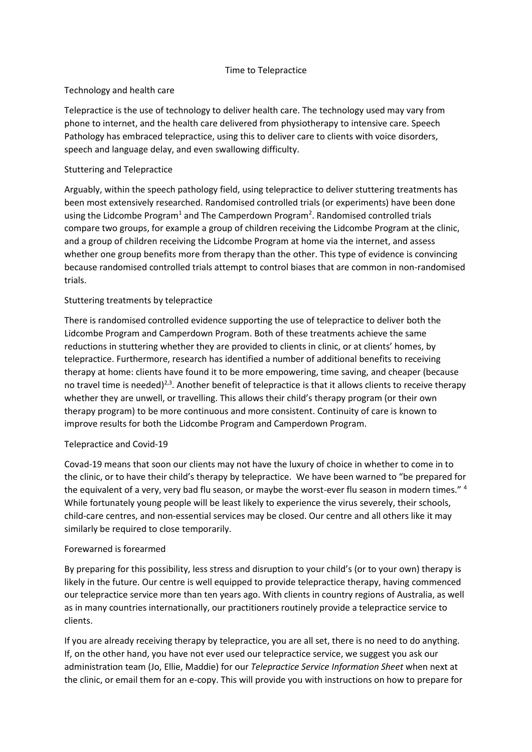## Time to Telepractice

# Technology and health care

Telepractice is the use of technology to deliver health care. The technology used may vary from phone to internet, and the health care delivered from physiotherapy to intensive care. Speech Pathology has embraced telepractice, using this to deliver care to clients with voice disorders, speech and language delay, and even swallowing difficulty.

# Stuttering and Telepractice

Arguably, within the speech pathology field, using telepractice to deliver stuttering treatments has been most extensively researched. Randomised controlled trials (or experiments) have been done using the Lidcombe Program<sup>1</sup> and The Camperdown Program<sup>2</sup>. Randomised controlled trials compare two groups, for example a group of children receiving the Lidcombe Program at the clinic, and a group of children receiving the Lidcombe Program at home via the internet, and assess whether one group benefits more from therapy than the other. This type of evidence is convincing because randomised controlled trials attempt to control biases that are common in non-randomised trials.

## Stuttering treatments by telepractice

There is randomised controlled evidence supporting the use of telepractice to deliver both the Lidcombe Program and Camperdown Program. Both of these treatments achieve the same reductions in stuttering whether they are provided to clients in clinic, or at clients' homes, by telepractice. Furthermore, research has identified a number of additional benefits to receiving therapy at home: clients have found it to be more empowering, time saving, and cheaper (because no travel time is needed)<sup>2,3</sup>. Another benefit of telepractice is that it allows clients to receive therapy whether they are unwell, or travelling. This allows their child's therapy program (or their own therapy program) to be more continuous and more consistent. Continuity of care is known to improve results for both the Lidcombe Program and Camperdown Program.

### Telepractice and Covid-19

Covad-19 means that soon our clients may not have the luxury of choice in whether to come in to the clinic, or to have their child's therapy by telepractice. We have been warned to "be prepared for the equivalent of a very, very bad flu season, or maybe the worst-ever flu season in modern times." <sup>4</sup> While fortunately young people will be least likely to experience the virus severely, their schools, child-care centres, and non-essential services may be closed. Our centre and all others like it may similarly be required to close temporarily.

### Forewarned is forearmed

By preparing for this possibility, less stress and disruption to your child's (or to your own) therapy is likely in the future. Our centre is well equipped to provide telepractice therapy, having commenced our telepractice service more than ten years ago. With clients in country regions of Australia, as well as in many countries internationally, our practitioners routinely provide a telepractice service to clients.

If you are already receiving therapy by telepractice, you are all set, there is no need to do anything. If, on the other hand, you have not ever used our telepractice service, we suggest you ask our administration team (Jo, Ellie, Maddie) for our *Telepractice Service Information Sheet* when next at the clinic, or email them for an e-copy. This will provide you with instructions on how to prepare for